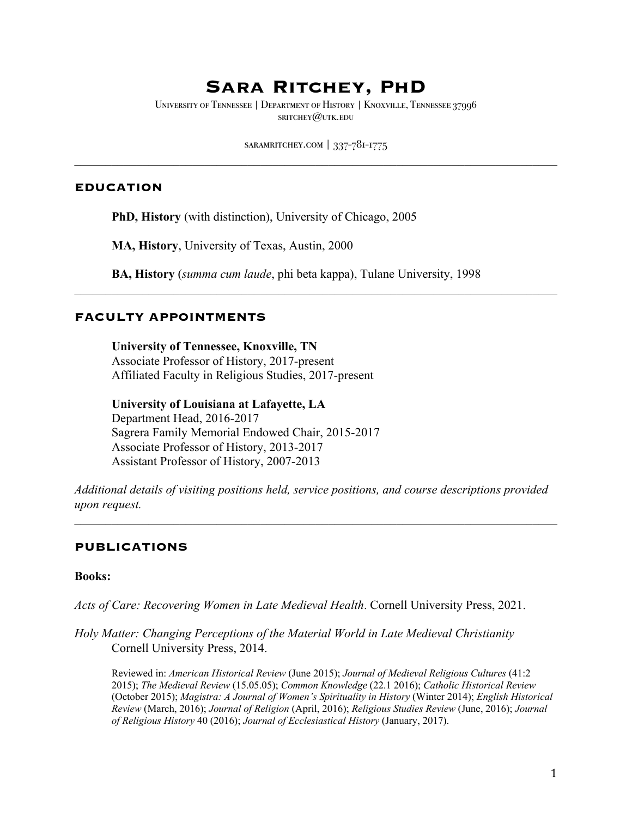# **Sara Ritchey, PhD**

University of Tennessee | Department of History | Knoxville, Tennessee 37996 sritchey@utk.edu

saramritchey.com | 337-781-1775

#### **EDUCATION**

**PhD, History** (with distinction), University of Chicago, 2005

**MA, History**, University of Texas, Austin, 2000

**BA, History** (*summa cum laude*, phi beta kappa), Tulane University, 1998

#### **FACULTY APPOINTMENTS**

**University of Tennessee, Knoxville, TN** Associate Professor of History, 2017-present Affiliated Faculty in Religious Studies, 2017-present

**University of Louisiana at Lafayette, LA**  Department Head, 2016-2017 Sagrera Family Memorial Endowed Chair, 2015-2017 Associate Professor of History, 2013-2017 Assistant Professor of History, 2007-2013

*Additional details of visiting positions held, service positions, and course descriptions provided upon request.*

#### **PUBLICATIONS**

#### **Books:**

*Acts of Care: Recovering Women in Late Medieval Health*. Cornell University Press, 2021.

*Holy Matter: Changing Perceptions of the Material World in Late Medieval Christianity* Cornell University Press, 2014.

Reviewed in: *American Historical Review* (June 2015); *Journal of Medieval Religious Cultures* (41:2 2015); *The Medieval Review* (15.05.05); *Common Knowledge* (22.1 2016); *Catholic Historical Review*  (October 2015); *Magistra: A Journal of Women's Spirituality in History* (Winter 2014); *English Historical Review* (March, 2016); *Journal of Religion* (April, 2016); *Religious Studies Review* (June, 2016); *Journal of Religious History* 40 (2016); *Journal of Ecclesiastical History* (January, 2017).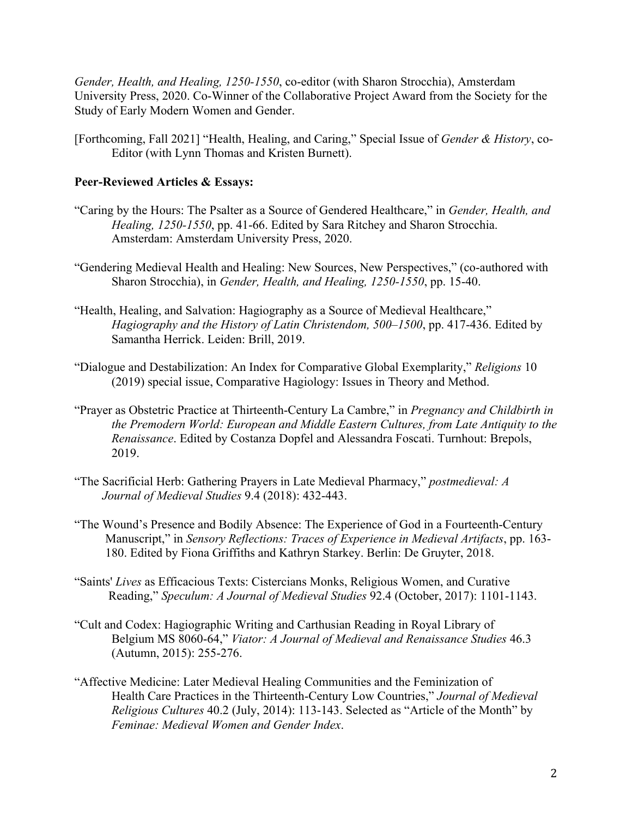*Gender, Health, and Healing, 1250-1550*, co-editor (with Sharon Strocchia), Amsterdam University Press, 2020. Co-Winner of the Collaborative Project Award from the Society for the Study of Early Modern Women and Gender.

[Forthcoming, Fall 2021] "Health, Healing, and Caring," Special Issue of *Gender & History*, co-Editor (with Lynn Thomas and Kristen Burnett).

## **Peer-Reviewed Articles & Essays:**

- "Caring by the Hours: The Psalter as a Source of Gendered Healthcare," in *Gender, Health, and Healing, 1250-1550*, pp. 41-66. Edited by Sara Ritchey and Sharon Strocchia. Amsterdam: Amsterdam University Press, 2020.
- "Gendering Medieval Health and Healing: New Sources, New Perspectives," (co-authored with Sharon Strocchia), in *Gender, Health, and Healing, 1250-1550*, pp. 15-40.
- "Health, Healing, and Salvation: Hagiography as a Source of Medieval Healthcare," *Hagiography and the History of Latin Christendom, 500–1500*, pp. 417-436. Edited by Samantha Herrick. Leiden: Brill, 2019.
- "Dialogue and Destabilization: An Index for Comparative Global Exemplarity," *Religions* 10 (2019) special issue, Comparative Hagiology: Issues in Theory and Method.
- "Prayer as Obstetric Practice at Thirteenth-Century La Cambre," in *Pregnancy and Childbirth in the Premodern World: European and Middle Eastern Cultures, from Late Antiquity to the Renaissance*. Edited by Costanza Dopfel and Alessandra Foscati. Turnhout: Brepols, 2019.
- "The Sacrificial Herb: Gathering Prayers in Late Medieval Pharmacy," *postmedieval: A Journal of Medieval Studies* 9.4 (2018): 432-443.
- "The Wound's Presence and Bodily Absence: The Experience of God in a Fourteenth-Century Manuscript," in *Sensory Reflections: Traces of Experience in Medieval Artifacts*, pp. 163- 180. Edited by Fiona Griffiths and Kathryn Starkey. Berlin: De Gruyter, 2018.
- "Saints' *Lives* as Efficacious Texts: Cistercians Monks, Religious Women, and Curative Reading," *Speculum: A Journal of Medieval Studies* 92.4 (October, 2017): 1101-1143.
- "Cult and Codex: Hagiographic Writing and Carthusian Reading in Royal Library of Belgium MS 8060-64," *Viator: A Journal of Medieval and Renaissance Studies* 46.3 (Autumn, 2015): 255-276.
- "Affective Medicine: Later Medieval Healing Communities and the Feminization of Health Care Practices in the Thirteenth-Century Low Countries," *Journal of Medieval Religious Cultures* 40.2 (July, 2014): 113-143. Selected as "Article of the Month" by *Feminae: Medieval Women and Gender Index*.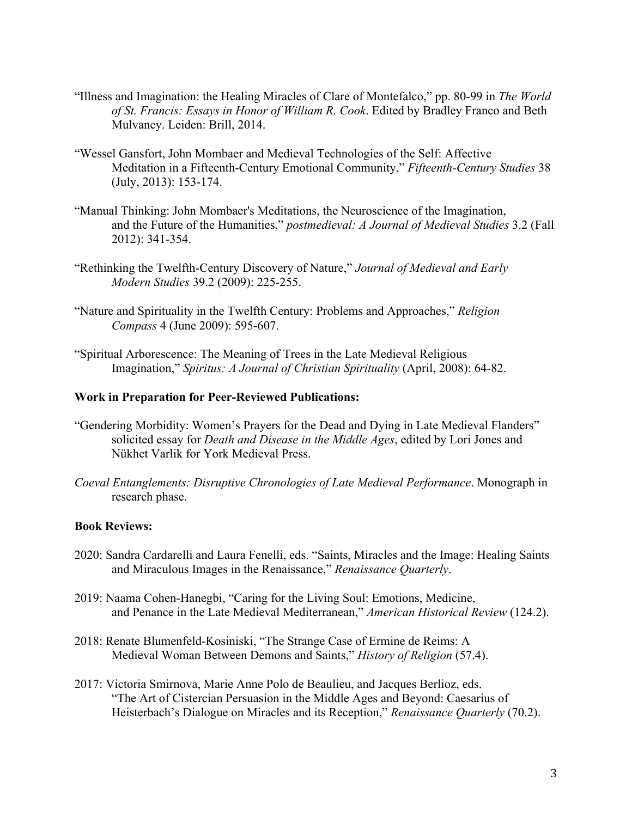- "Illness and Imagination: the Healing Miracles of Clare of Montefalco," pp. 80-99 in *The World of St. Francis: Essays in Honor of William R. Cook*. Edited by Bradley Franco and Beth Mulvaney. Leiden: Brill, 2014.
- "Wessel Gansfort, John Mombaer and Medieval Technologies of the Self: Affective Meditation in a Fifteenth-Century Emotional Community," *Fifteenth-Century Studies* 38 (July, 2013): 153-174.
- "Manual Thinking: John Mombaer's Meditations, the Neuroscience of the Imagination, and the Future of the Humanities," *postmedieval: A Journal of Medieval Studies* 3.2 (Fall 2012): 341-354.
- "Rethinking the Twelfth-Century Discovery of Nature," *Journal of Medieval and Early Modern Studies* 39.2 (2009): 225-255.
- "Nature and Spirituality in the Twelfth Century: Problems and Approaches," *Religion Compass* 4 (June 2009): 595-607.
- "Spiritual Arborescence: The Meaning of Trees in the Late Medieval Religious Imagination," *Spiritus: A Journal of Christian Spirituality* (April, 2008): 64-82.

#### **Work in Preparation for Peer-Reviewed Publications:**

- "Gendering Morbidity: Women's Prayers for the Dead and Dying in Late Medieval Flanders" solicited essay for *Death and Disease in the Middle Ages*, edited by Lori Jones and Nükhet Varlik for York Medieval Press.
- *Coeval Entanglements: Disruptive Chronologies of Late Medieval Performance*. Monograph in research phase.

#### **Book Reviews:**

- 2020: Sandra Cardarelli and Laura Fenelli, eds. "Saints, Miracles and the Image: Healing Saints and Miraculous Images in the Renaissance," *Renaissance Quarterly*.
- 2019: Naama Cohen-Hanegbi, "Caring for the Living Soul: Emotions, Medicine, and Penance in the Late Medieval Mediterranean," *American Historical Review* (124.2).
- 2018: Renate Blumenfeld-Kosiniski, "The Strange Case of Ermine de Reims: A Medieval Woman Between Demons and Saints," *History of Religion* (57.4).
- 2017: Victoria Smirnova, Marie Anne Polo de Beaulieu, and Jacques Berlioz, eds. "The Art of Cistercian Persuasion in the Middle Ages and Beyond: Caesarius of Heisterbach's Dialogue on Miracles and its Reception," *Renaissance Quarterly* (70.2).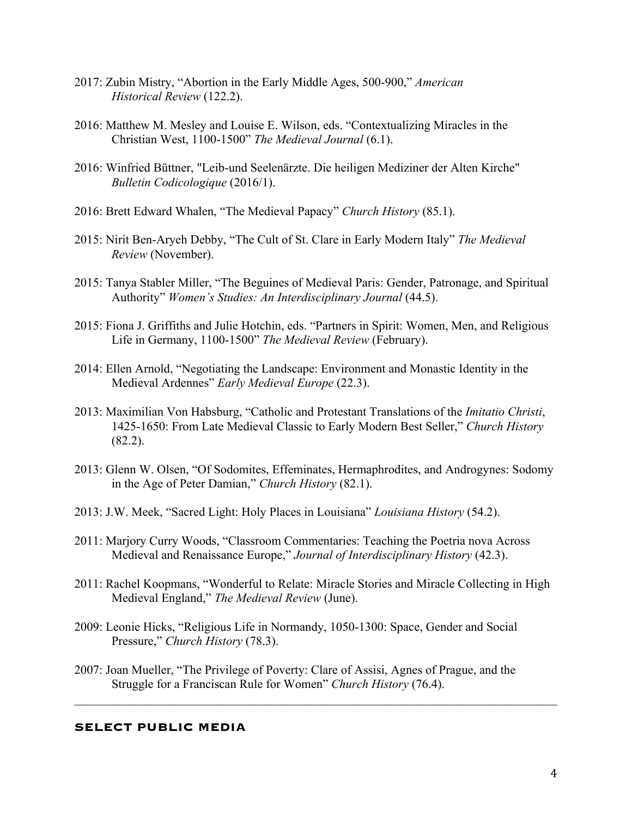- 2017: Zubin Mistry, "Abortion in the Early Middle Ages, 500-900," *American Historical Review* (122.2).
- 2016: Matthew M. Mesley and Louise E. Wilson, eds. "Contextualizing Miracles in the Christian West, 1100-1500" *The Medieval Journal* (6.1).
- 2016: Winfried Büttner, "Leib-und Seelenärzte. Die heiligen Mediziner der Alten Kirche" *Bulletin Codicologique* (2016/1).
- 2016: Brett Edward Whalen, "The Medieval Papacy" *Church History* (85.1).
- 2015: Nirit Ben-Aryeh Debby, "The Cult of St. Clare in Early Modern Italy" *The Medieval Review* (November).
- 2015: Tanya Stabler Miller, "The Beguines of Medieval Paris: Gender, Patronage, and Spiritual Authority" *Women's Studies: An Interdisciplinary Journal* (44.5).
- 2015: Fiona J. Griffiths and Julie Hotchin, eds. "Partners in Spirit: Women, Men, and Religious Life in Germany, 1100-1500" *The Medieval Review* (February).
- 2014: Ellen Arnold, "Negotiating the Landscape: Environment and Monastic Identity in the Medieval Ardennes" *Early Medieval Europe* (22.3).
- 2013: Maximilian Von Habsburg, "Catholic and Protestant Translations of the *Imitatio Christi*, 1425-1650: From Late Medieval Classic to Early Modern Best Seller," *Church History* (82.2).
- 2013: Glenn W. Olsen, "Of Sodomites, Effeminates, Hermaphrodites, and Androgynes: Sodomy in the Age of Peter Damian," *Church History* (82.1).
- 2013: J.W. Meek, "Sacred Light: Holy Places in Louisiana" *Louisiana History* (54.2).
- 2011: Marjory Curry Woods, "Classroom Commentaries: Teaching the Poetria nova Across Medieval and Renaissance Europe," *Journal of Interdisciplinary History* (42.3).
- 2011: Rachel Koopmans, "Wonderful to Relate: Miracle Stories and Miracle Collecting in High Medieval England," *The Medieval Review* (June).
- 2009: Leonie Hicks, "Religious Life in Normandy, 1050-1300: Space, Gender and Social Pressure," *Church History* (78.3).
- 2007: Joan Mueller, "The Privilege of Poverty: Clare of Assisi, Agnes of Prague, and the Struggle for a Franciscan Rule for Women" *Church History* (76.4).

#### **SELECT PUBLIC MEDIA**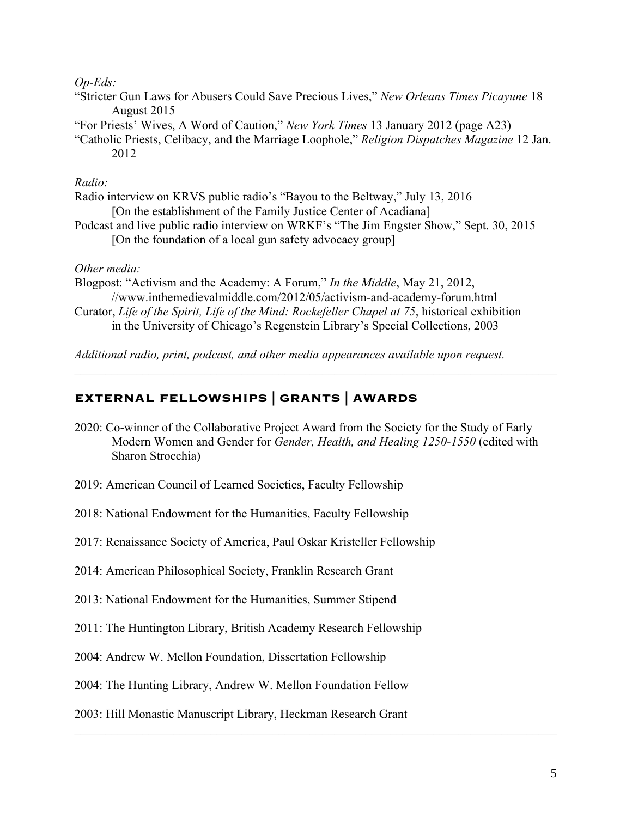## *Op-Eds:*

- "Stricter Gun Laws for Abusers Could Save Precious Lives," *New Orleans Times Picayune* 18 August 2015
- "For Priests' Wives, A Word of Caution," *New York Times* 13 January 2012 (page A23)
- "Catholic Priests, Celibacy, and the Marriage Loophole," *Religion Dispatches Magazine* 12 Jan. 2012

## *Radio:*

- Radio interview on KRVS public radio's "Bayou to the Beltway," July 13, 2016 [On the establishment of the Family Justice Center of Acadiana] Podcast and live public radio interview on WRKF's "The Jim Engster Show," Sept. 30, 2015
	- [On the foundation of a local gun safety advocacy group]

## *Other media:*

Blogpost: "Activism and the Academy: A Forum," *In the Middle*, May 21, 2012, //www.inthemedievalmiddle.com/2012/05/activism-and-academy-forum.html Curator, *Life of the Spirit, Life of the Mind: Rockefeller Chapel at 75*, historical exhibition in the University of Chicago's Regenstein Library's Special Collections, 2003

*Additional radio, print, podcast, and other media appearances available upon request.*

## **EXTERNAL FELLOWSHIPS | GRANTS | AWARDS**

- 2020: Co-winner of the Collaborative Project Award from the Society for the Study of Early Modern Women and Gender for *Gender, Health, and Healing 1250-1550* (edited with Sharon Strocchia)
- 2019: American Council of Learned Societies, Faculty Fellowship
- 2018: National Endowment for the Humanities, Faculty Fellowship
- 2017: Renaissance Society of America, Paul Oskar Kristeller Fellowship
- 2014: American Philosophical Society, Franklin Research Grant
- 2013: National Endowment for the Humanities, Summer Stipend
- 2011: The Huntington Library, British Academy Research Fellowship
- 2004: Andrew W. Mellon Foundation, Dissertation Fellowship
- 2004: The Hunting Library, Andrew W. Mellon Foundation Fellow
- 2003: Hill Monastic Manuscript Library, Heckman Research Grant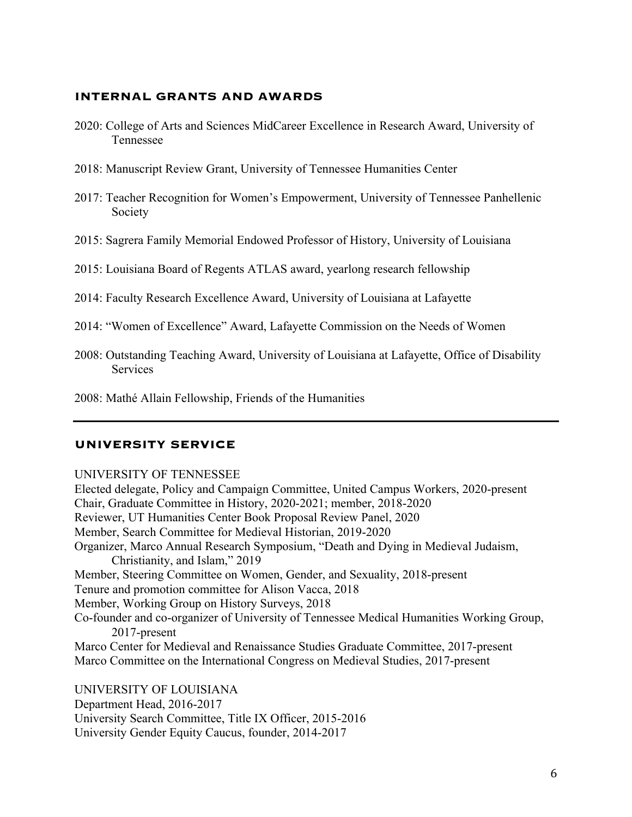#### **INTERNAL GRANTS AND AWARDS**

- 2020: College of Arts and Sciences MidCareer Excellence in Research Award, University of Tennessee
- 2018: Manuscript Review Grant, University of Tennessee Humanities Center
- 2017: Teacher Recognition for Women's Empowerment, University of Tennessee Panhellenic Society
- 2015: Sagrera Family Memorial Endowed Professor of History, University of Louisiana
- 2015: Louisiana Board of Regents ATLAS award, yearlong research fellowship
- 2014: Faculty Research Excellence Award, University of Louisiana at Lafayette
- 2014: "Women of Excellence" Award, Lafayette Commission on the Needs of Women
- 2008: Outstanding Teaching Award, University of Louisiana at Lafayette, Office of Disability Services
- 2008: Mathé Allain Fellowship, Friends of the Humanities

#### **UNIVERSITY SERVICE**

#### UNIVERSITY OF TENNESSEE

Elected delegate, Policy and Campaign Committee, United Campus Workers, 2020-present Chair, Graduate Committee in History, 2020-2021; member, 2018-2020 Reviewer, UT Humanities Center Book Proposal Review Panel, 2020 Member, Search Committee for Medieval Historian, 2019-2020 Organizer, Marco Annual Research Symposium, "Death and Dying in Medieval Judaism, Christianity, and Islam," 2019 Member, Steering Committee on Women, Gender, and Sexuality, 2018-present Tenure and promotion committee for Alison Vacca, 2018 Member, Working Group on History Surveys, 2018 Co-founder and co-organizer of University of Tennessee Medical Humanities Working Group, 2017-present Marco Center for Medieval and Renaissance Studies Graduate Committee, 2017-present Marco Committee on the International Congress on Medieval Studies, 2017-present UNIVERSITY OF LOUISIANA

Department Head, 2016-2017 University Search Committee, Title IX Officer, 2015-2016 University Gender Equity Caucus, founder, 2014-2017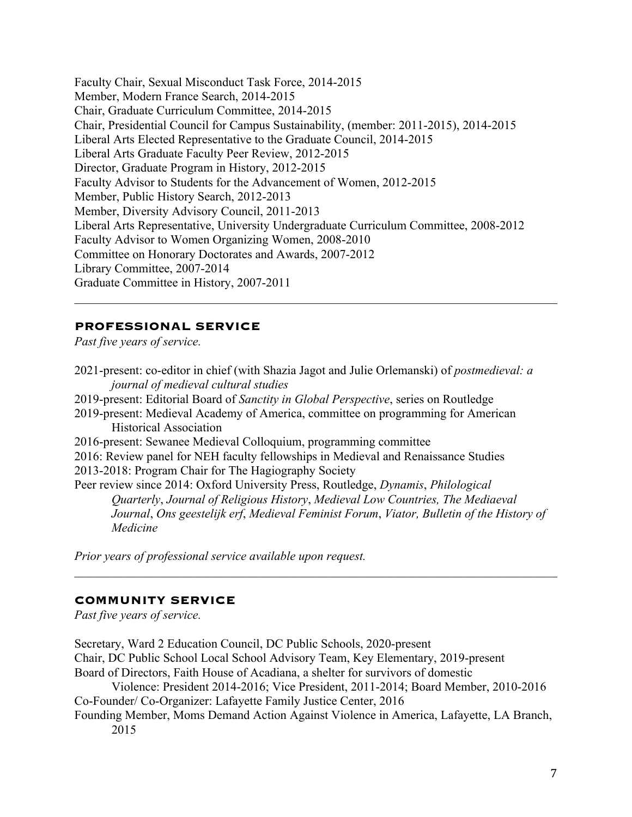Faculty Chair, Sexual Misconduct Task Force, 2014-2015 Member, Modern France Search, 2014-2015 Chair, Graduate Curriculum Committee, 2014-2015 Chair, Presidential Council for Campus Sustainability, (member: 2011-2015), 2014-2015 Liberal Arts Elected Representative to the Graduate Council, 2014-2015 Liberal Arts Graduate Faculty Peer Review, 2012-2015 Director, Graduate Program in History, 2012-2015 Faculty Advisor to Students for the Advancement of Women, 2012-2015 Member, Public History Search, 2012-2013 Member, Diversity Advisory Council, 2011-2013 Liberal Arts Representative, University Undergraduate Curriculum Committee, 2008-2012 Faculty Advisor to Women Organizing Women, 2008-2010 Committee on Honorary Doctorates and Awards, 2007-2012 Library Committee, 2007-2014 Graduate Committee in History, 2007-2011  $\_$  , and the set of the set of the set of the set of the set of the set of the set of the set of the set of the set of the set of the set of the set of the set of the set of the set of the set of the set of the set of th

## **PROFESSIONAL SERVICE**

*Past five years of service.*

2021-present: co-editor in chief (with Shazia Jagot and Julie Orlemanski) of *postmedieval: a journal of medieval cultural studies* 2019-present: Editorial Board of *Sanctity in Global Perspective*, series on Routledge 2019-present: Medieval Academy of America, committee on programming for American Historical Association 2016-present: Sewanee Medieval Colloquium, programming committee 2016: Review panel for NEH faculty fellowships in Medieval and Renaissance Studies 2013-2018: Program Chair for The Hagiography Society Peer review since 2014: Oxford University Press, Routledge, *Dynamis*, *Philological Quarterly*, *Journal of Religious History*, *Medieval Low Countries, The Mediaeval Journal*, *Ons geestelijk erf*, *Medieval Feminist Forum*, *Viator, Bulletin of the History of Medicine*

*Prior years of professional service available upon request.*

#### **COMMUNITY SERVICE**

*Past five years of service.* 

Secretary, Ward 2 Education Council, DC Public Schools, 2020-present Chair, DC Public School Local School Advisory Team, Key Elementary, 2019-present Board of Directors, Faith House of Acadiana, a shelter for survivors of domestic Violence: President 2014-2016; Vice President, 2011-2014; Board Member, 2010-2016 Co-Founder/ Co-Organizer: Lafayette Family Justice Center, 2016 Founding Member, Moms Demand Action Against Violence in America, Lafayette, LA Branch, 2015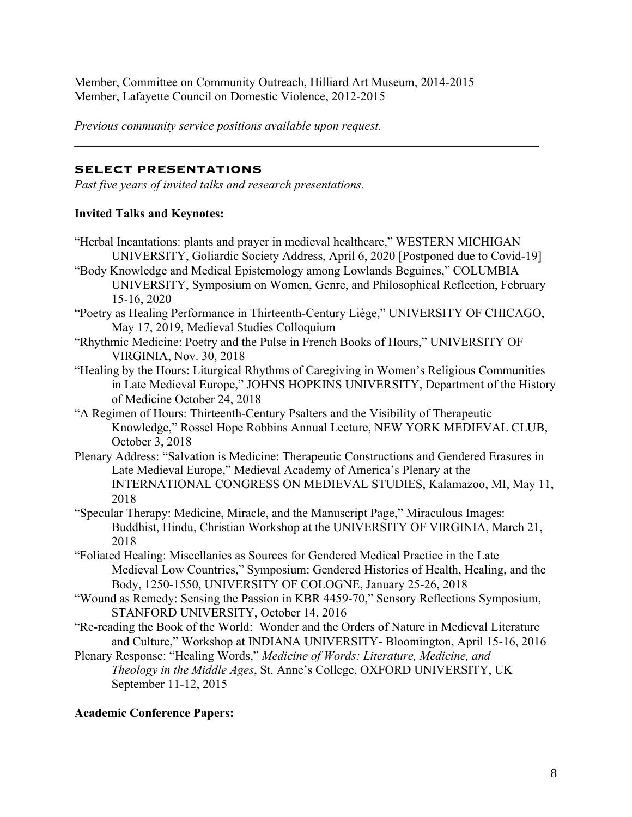Member, Committee on Community Outreach, Hilliard Art Museum, 2014-2015 Member, Lafayette Council on Domestic Violence, 2012-2015

*Previous community service positions available upon request.*

## **SELECT PRESENTATIONS**

*Past five years of invited talks and research presentations.*

## **Invited Talks and Keynotes:**

- "Herbal Incantations: plants and prayer in medieval healthcare," WESTERN MICHIGAN UNIVERSITY, Goliardic Society Address, April 6, 2020 [Postponed due to Covid-19]
- "Body Knowledge and Medical Epistemology among Lowlands Beguines," COLUMBIA UNIVERSITY, Symposium on Women, Genre, and Philosophical Reflection, February 15-16, 2020
- "Poetry as Healing Performance in Thirteenth-Century Liège," UNIVERSITY OF CHICAGO, May 17, 2019, Medieval Studies Colloquium
- "Rhythmic Medicine: Poetry and the Pulse in French Books of Hours," UNIVERSITY OF VIRGINIA, Nov. 30, 2018
- "Healing by the Hours: Liturgical Rhythms of Caregiving in Women's Religious Communities in Late Medieval Europe," JOHNS HOPKINS UNIVERSITY, Department of the History of Medicine October 24, 2018
- "A Regimen of Hours: Thirteenth-Century Psalters and the Visibility of Therapeutic Knowledge," Rossel Hope Robbins Annual Lecture, NEW YORK MEDIEVAL CLUB, October 3, 2018
- Plenary Address: "Salvation is Medicine: Therapeutic Constructions and Gendered Erasures in Late Medieval Europe," Medieval Academy of America's Plenary at the INTERNATIONAL CONGRESS ON MEDIEVAL STUDIES, Kalamazoo, MI, May 11, 2018
- "Specular Therapy: Medicine, Miracle, and the Manuscript Page," Miraculous Images: Buddhist, Hindu, Christian Workshop at the UNIVERSITY OF VIRGINIA, March 21, 2018
- "Foliated Healing: Miscellanies as Sources for Gendered Medical Practice in the Late Medieval Low Countries," Symposium: Gendered Histories of Health, Healing, and the Body, 1250-1550, UNIVERSITY OF COLOGNE, January 25-26, 2018
- "Wound as Remedy: Sensing the Passion in KBR 4459-70," Sensory Reflections Symposium, STANFORD UNIVERSITY, October 14, 2016
- "Re-reading the Book of the World: Wonder and the Orders of Nature in Medieval Literature and Culture," Workshop at INDIANA UNIVERSITY- Bloomington, April 15-16, 2016
- Plenary Response: "Healing Words," *Medicine of Words: Literature, Medicine, and Theology in the Middle Ages*, St. Anne's College, OXFORD UNIVERSITY, UK September 11-12, 2015

## **Academic Conference Papers:**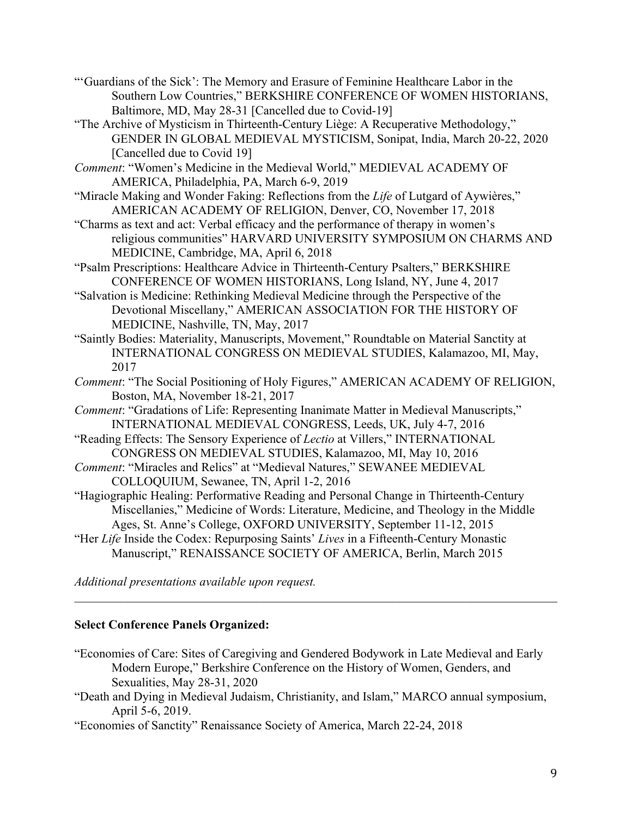- "'Guardians of the Sick': The Memory and Erasure of Feminine Healthcare Labor in the Southern Low Countries," BERKSHIRE CONFERENCE OF WOMEN HISTORIANS, Baltimore, MD, May 28-31 [Cancelled due to Covid-19]
- "The Archive of Mysticism in Thirteenth-Century Liège: A Recuperative Methodology," GENDER IN GLOBAL MEDIEVAL MYSTICISM, Sonipat, India, March 20-22, 2020 [Cancelled due to Covid 19]
- *Comment*: "Women's Medicine in the Medieval World," MEDIEVAL ACADEMY OF AMERICA, Philadelphia, PA, March 6-9, 2019
- "Miracle Making and Wonder Faking: Reflections from the *Life* of Lutgard of Aywières," AMERICAN ACADEMY OF RELIGION, Denver, CO, November 17, 2018
- "Charms as text and act: Verbal efficacy and the performance of therapy in women's religious communities" HARVARD UNIVERSITY SYMPOSIUM ON CHARMS AND MEDICINE, Cambridge, MA, April 6, 2018
- "Psalm Prescriptions: Healthcare Advice in Thirteenth-Century Psalters," BERKSHIRE CONFERENCE OF WOMEN HISTORIANS, Long Island, NY, June 4, 2017
- "Salvation is Medicine: Rethinking Medieval Medicine through the Perspective of the Devotional Miscellany," AMERICAN ASSOCIATION FOR THE HISTORY OF MEDICINE, Nashville, TN, May, 2017
- "Saintly Bodies: Materiality, Manuscripts, Movement," Roundtable on Material Sanctity at INTERNATIONAL CONGRESS ON MEDIEVAL STUDIES, Kalamazoo, MI, May, 2017
- *Comment*: "The Social Positioning of Holy Figures," AMERICAN ACADEMY OF RELIGION, Boston, MA, November 18-21, 2017
- *Comment*: "Gradations of Life: Representing Inanimate Matter in Medieval Manuscripts," INTERNATIONAL MEDIEVAL CONGRESS, Leeds, UK, July 4-7, 2016
- "Reading Effects: The Sensory Experience of *Lectio* at Villers," INTERNATIONAL CONGRESS ON MEDIEVAL STUDIES, Kalamazoo, MI, May 10, 2016
- *Comment*: "Miracles and Relics" at "Medieval Natures," SEWANEE MEDIEVAL COLLOQUIUM, Sewanee, TN, April 1-2, 2016
- "Hagiographic Healing: Performative Reading and Personal Change in Thirteenth-Century Miscellanies," Medicine of Words: Literature, Medicine, and Theology in the Middle Ages, St. Anne's College, OXFORD UNIVERSITY, September 11-12, 2015
- "Her *Life* Inside the Codex: Repurposing Saints' *Lives* in a Fifteenth-Century Monastic Manuscript," RENAISSANCE SOCIETY OF AMERICA, Berlin, March 2015

*Additional presentations available upon request.*

# **Select Conference Panels Organized:**

- "Economies of Care: Sites of Caregiving and Gendered Bodywork in Late Medieval and Early Modern Europe," Berkshire Conference on the History of Women, Genders, and Sexualities, May 28-31, 2020
- "Death and Dying in Medieval Judaism, Christianity, and Islam," MARCO annual symposium, April 5-6, 2019.

"Economies of Sanctity" Renaissance Society of America, March 22-24, 2018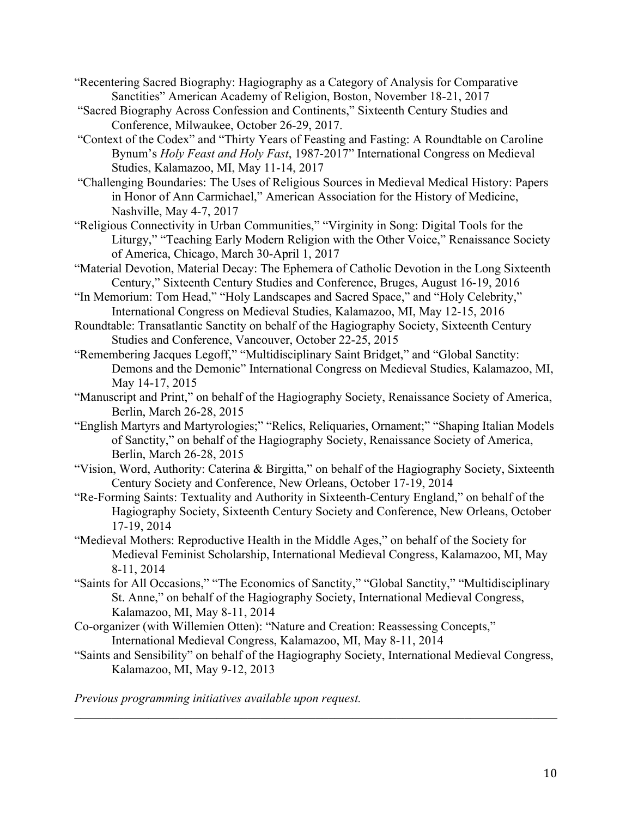"Recentering Sacred Biography: Hagiography as a Category of Analysis for Comparative Sanctities" American Academy of Religion, Boston, November 18-21, 2017

- "Sacred Biography Across Confession and Continents," Sixteenth Century Studies and Conference, Milwaukee, October 26-29, 2017.
- "Context of the Codex" and "Thirty Years of Feasting and Fasting: A Roundtable on Caroline Bynum's *Holy Feast and Holy Fast*, 1987-2017" International Congress on Medieval Studies, Kalamazoo, MI, May 11-14, 2017
- "Challenging Boundaries: The Uses of Religious Sources in Medieval Medical History: Papers in Honor of Ann Carmichael," American Association for the History of Medicine, Nashville, May 4-7, 2017
- "Religious Connectivity in Urban Communities," "Virginity in Song: Digital Tools for the Liturgy," "Teaching Early Modern Religion with the Other Voice," Renaissance Society of America, Chicago, March 30-April 1, 2017
- "Material Devotion, Material Decay: The Ephemera of Catholic Devotion in the Long Sixteenth Century," Sixteenth Century Studies and Conference, Bruges, August 16-19, 2016
- "In Memorium: Tom Head," "Holy Landscapes and Sacred Space," and "Holy Celebrity," International Congress on Medieval Studies, Kalamazoo, MI, May 12-15, 2016
- Roundtable: Transatlantic Sanctity on behalf of the Hagiography Society, Sixteenth Century Studies and Conference, Vancouver, October 22-25, 2015
- "Remembering Jacques Legoff," "Multidisciplinary Saint Bridget," and "Global Sanctity: Demons and the Demonic" International Congress on Medieval Studies, Kalamazoo, MI, May 14-17, 2015
- "Manuscript and Print," on behalf of the Hagiography Society, Renaissance Society of America, Berlin, March 26-28, 2015
- "English Martyrs and Martyrologies;" "Relics, Reliquaries, Ornament;" "Shaping Italian Models of Sanctity," on behalf of the Hagiography Society, Renaissance Society of America, Berlin, March 26-28, 2015
- "Vision, Word, Authority: Caterina & Birgitta," on behalf of the Hagiography Society, Sixteenth Century Society and Conference, New Orleans, October 17-19, 2014
- "Re-Forming Saints: Textuality and Authority in Sixteenth-Century England," on behalf of the Hagiography Society, Sixteenth Century Society and Conference, New Orleans, October 17-19, 2014
- "Medieval Mothers: Reproductive Health in the Middle Ages," on behalf of the Society for Medieval Feminist Scholarship, International Medieval Congress, Kalamazoo, MI, May 8-11, 2014
- "Saints for All Occasions," "The Economics of Sanctity," "Global Sanctity," "Multidisciplinary St. Anne," on behalf of the Hagiography Society, International Medieval Congress, Kalamazoo, MI, May 8-11, 2014
- Co-organizer (with Willemien Otten): "Nature and Creation: Reassessing Concepts," International Medieval Congress, Kalamazoo, MI, May 8-11, 2014
- "Saints and Sensibility" on behalf of the Hagiography Society, International Medieval Congress, Kalamazoo, MI, May 9-12, 2013

*Previous programming initiatives available upon request.*